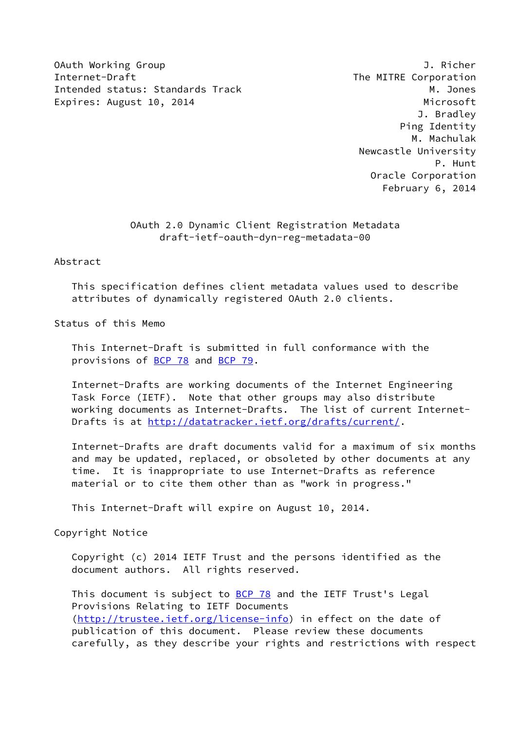OAuth Working Group J. Richer Internet-Draft The MITRE Corporation Intended status: Standards Track M. Jones Expires: August 10, 2014 **Microsoft** Microsoft

 J. Bradley Ping Identity M. Machulak Newcastle University P. Hunt Oracle Corporation February 6, 2014

# OAuth 2.0 Dynamic Client Registration Metadata draft-ietf-oauth-dyn-reg-metadata-00

### Abstract

 This specification defines client metadata values used to describe attributes of dynamically registered OAuth 2.0 clients.

Status of this Memo

 This Internet-Draft is submitted in full conformance with the provisions of [BCP 78](https://datatracker.ietf.org/doc/pdf/bcp78) and [BCP 79](https://datatracker.ietf.org/doc/pdf/bcp79).

 Internet-Drafts are working documents of the Internet Engineering Task Force (IETF). Note that other groups may also distribute working documents as Internet-Drafts. The list of current Internet- Drafts is at<http://datatracker.ietf.org/drafts/current/>.

 Internet-Drafts are draft documents valid for a maximum of six months and may be updated, replaced, or obsoleted by other documents at any time. It is inappropriate to use Internet-Drafts as reference material or to cite them other than as "work in progress."

This Internet-Draft will expire on August 10, 2014.

Copyright Notice

 Copyright (c) 2014 IETF Trust and the persons identified as the document authors. All rights reserved.

This document is subject to **[BCP 78](https://datatracker.ietf.org/doc/pdf/bcp78)** and the IETF Trust's Legal Provisions Relating to IETF Documents [\(http://trustee.ietf.org/license-info](http://trustee.ietf.org/license-info)) in effect on the date of publication of this document. Please review these documents carefully, as they describe your rights and restrictions with respect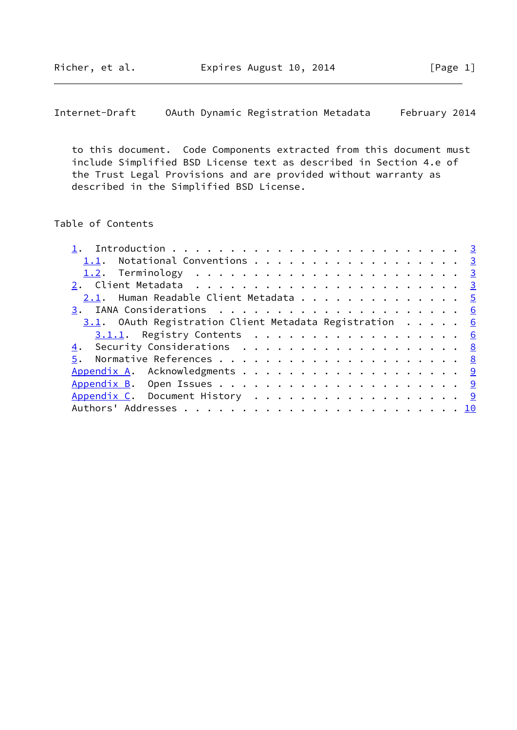Internet-Draft OAuth Dynamic Registration Metadata February 2014

 to this document. Code Components extracted from this document must include Simplified BSD License text as described in Section 4.e of the Trust Legal Provisions and are provided without warranty as described in the Simplified BSD License.

# Table of Contents

| 1.1. Notational Conventions 3                          |  |  |
|--------------------------------------------------------|--|--|
|                                                        |  |  |
| <u>2</u> . Client Metadata <u>3</u>                    |  |  |
| 2.1. Human Readable Client Metadata 5                  |  |  |
|                                                        |  |  |
| 3.1. OAuth Registration Client Metadata Registration 6 |  |  |
| $3.1.1.$ Registry Contents 6                           |  |  |
| 4. Security Considerations 8                           |  |  |
|                                                        |  |  |
|                                                        |  |  |
|                                                        |  |  |
| Appendix C. Document History 9                         |  |  |
|                                                        |  |  |
|                                                        |  |  |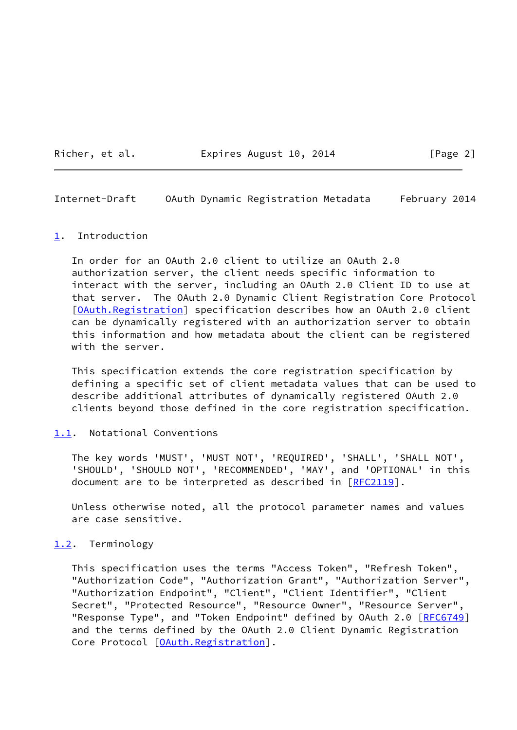Richer, et al. Expires August 10, 2014 [Page 2]

<span id="page-2-1"></span>Internet-Draft OAuth Dynamic Registration Metadata February 2014

### <span id="page-2-0"></span>[1](#page-2-0). Introduction

 In order for an OAuth 2.0 client to utilize an OAuth 2.0 authorization server, the client needs specific information to interact with the server, including an OAuth 2.0 Client ID to use at that server. The OAuth 2.0 Dynamic Client Registration Core Protocol [\[OAuth.Registration\]](#page-9-4) specification describes how an OAuth 2.0 client can be dynamically registered with an authorization server to obtain this information and how metadata about the client can be registered with the server.

 This specification extends the core registration specification by defining a specific set of client metadata values that can be used to describe additional attributes of dynamically registered OAuth 2.0 clients beyond those defined in the core registration specification.

### <span id="page-2-2"></span>[1.1](#page-2-2). Notational Conventions

 The key words 'MUST', 'MUST NOT', 'REQUIRED', 'SHALL', 'SHALL NOT', 'SHOULD', 'SHOULD NOT', 'RECOMMENDED', 'MAY', and 'OPTIONAL' in this document are to be interpreted as described in [\[RFC2119](https://datatracker.ietf.org/doc/pdf/rfc2119)].

 Unless otherwise noted, all the protocol parameter names and values are case sensitive.

### <span id="page-2-3"></span>[1.2](#page-2-3). Terminology

 This specification uses the terms "Access Token", "Refresh Token", "Authorization Code", "Authorization Grant", "Authorization Server", "Authorization Endpoint", "Client", "Client Identifier", "Client Secret", "Protected Resource", "Resource Owner", "Resource Server", "Response Type", and "Token Endpoint" defined by OAuth 2.0 [[RFC6749\]](https://datatracker.ietf.org/doc/pdf/rfc6749) and the terms defined by the OAuth 2.0 Client Dynamic Registration Core Protocol [[OAuth.Registration\]](#page-9-4).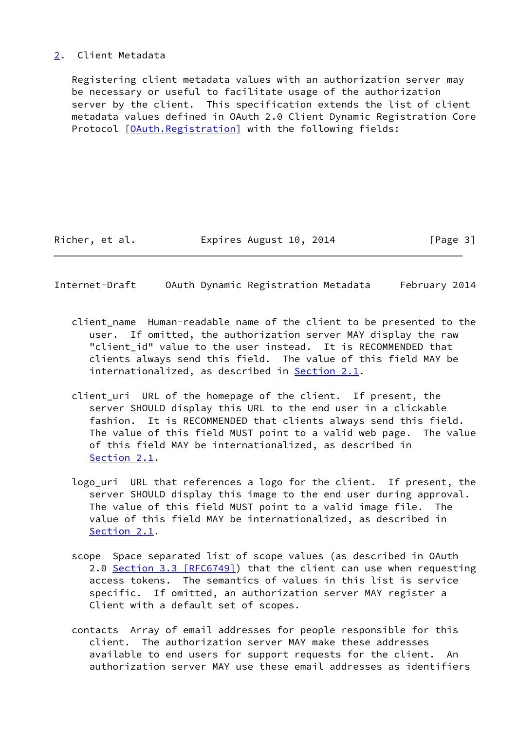## <span id="page-3-0"></span>[2](#page-3-0). Client Metadata

 Registering client metadata values with an authorization server may be necessary or useful to facilitate usage of the authorization server by the client. This specification extends the list of client metadata values defined in OAuth 2.0 Client Dynamic Registration Core Protocol [\[OAuth.Registration\]](#page-9-4) with the following fields:

Richer, et al. Expires August 10, 2014 [Page 3]

Internet-Draft OAuth Dynamic Registration Metadata February 2014

- client\_name Human-readable name of the client to be presented to the user. If omitted, the authorization server MAY display the raw "client\_id" value to the user instead. It is RECOMMENDED that clients always send this field. The value of this field MAY be internationalized, as described in [Section 2.1](#page-5-0).
- client\_uri URL of the homepage of the client. If present, the server SHOULD display this URL to the end user in a clickable fashion. It is RECOMMENDED that clients always send this field. The value of this field MUST point to a valid web page. The value of this field MAY be internationalized, as described in [Section 2.1](#page-5-0).
- logo\_uri URL that references a logo for the client. If present, the server SHOULD display this image to the end user during approval. The value of this field MUST point to a valid image file. The value of this field MAY be internationalized, as described in [Section 2.1](#page-5-0).
- scope Space separated list of scope values (as described in OAuth 2.0 Section [3.3 \[RFC6749\]\)](https://datatracker.ietf.org/doc/pdf/rfc6749#section-3.3) that the client can use when requesting access tokens. The semantics of values in this list is service specific. If omitted, an authorization server MAY register a Client with a default set of scopes.
- contacts Array of email addresses for people responsible for this client. The authorization server MAY make these addresses available to end users for support requests for the client. An authorization server MAY use these email addresses as identifiers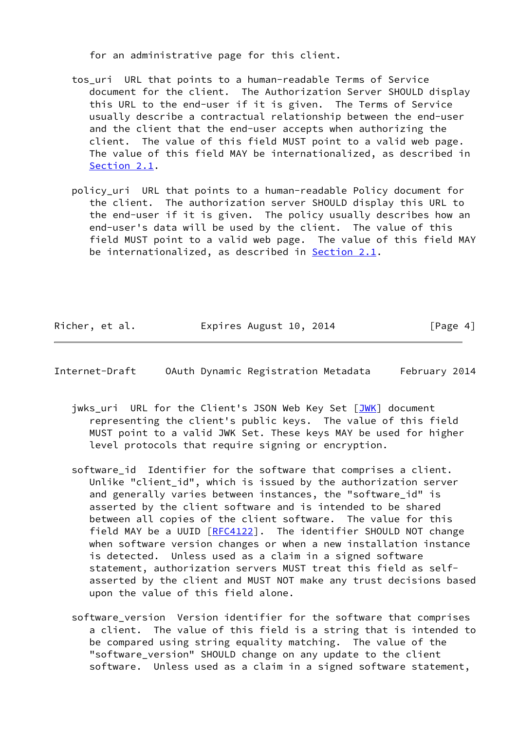for an administrative page for this client.

- tos uri URL that points to a human-readable Terms of Service document for the client. The Authorization Server SHOULD display this URL to the end-user if it is given. The Terms of Service usually describe a contractual relationship between the end-user and the client that the end-user accepts when authorizing the client. The value of this field MUST point to a valid web page. The value of this field MAY be internationalized, as described in [Section 2.1](#page-5-0).
- policy\_uri URL that points to a human-readable Policy document for the client. The authorization server SHOULD display this URL to the end-user if it is given. The policy usually describes how an end-user's data will be used by the client. The value of this field MUST point to a valid web page. The value of this field MAY be internationalized, as described in **Section 2.1**.

| Richer, et al. | Expires August 10, 2014 | [Page 4] |
|----------------|-------------------------|----------|
|----------------|-------------------------|----------|

<span id="page-4-0"></span>Internet-Draft OAuth Dynamic Registration Metadata February 2014

- jwks\_uri URL for the Client's JSON Web Key Set [\[JWK](#page-9-5)] document representing the client's public keys. The value of this field MUST point to a valid JWK Set. These keys MAY be used for higher level protocols that require signing or encryption.
- software id Identifier for the software that comprises a client. Unlike "client\_id", which is issued by the authorization server and generally varies between instances, the "software\_id" is asserted by the client software and is intended to be shared between all copies of the client software. The value for this field MAY be a UUID [\[RFC4122](https://datatracker.ietf.org/doc/pdf/rfc4122)]. The identifier SHOULD NOT change when software version changes or when a new installation instance is detected. Unless used as a claim in a signed software statement, authorization servers MUST treat this field as self asserted by the client and MUST NOT make any trust decisions based upon the value of this field alone.
- software version Version identifier for the software that comprises a client. The value of this field is a string that is intended to be compared using string equality matching. The value of the "software\_version" SHOULD change on any update to the client software. Unless used as a claim in a signed software statement,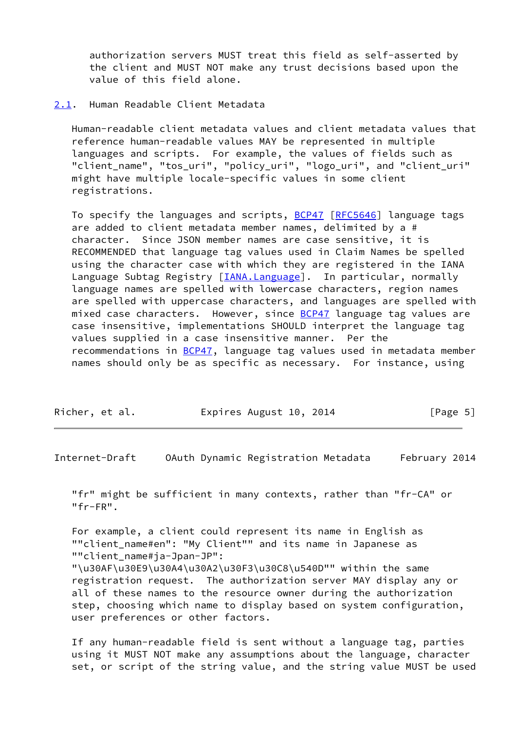authorization servers MUST treat this field as self-asserted by the client and MUST NOT make any trust decisions based upon the value of this field alone.

## <span id="page-5-0"></span>[2.1](#page-5-0). Human Readable Client Metadata

 Human-readable client metadata values and client metadata values that reference human-readable values MAY be represented in multiple languages and scripts. For example, the values of fields such as "client\_name", "tos\_uri", "policy\_uri", "logo\_uri", and "client\_uri" might have multiple locale-specific values in some client registrations.

To specify the languages and scripts, **BCP47** [\[RFC5646](https://datatracker.ietf.org/doc/pdf/rfc5646)] language tags are added to client metadata member names, delimited by a # character. Since JSON member names are case sensitive, it is RECOMMENDED that language tag values used in Claim Names be spelled using the character case with which they are registered in the IANA Language Subtag Registry [\[IANA.Language\]](#page-8-2). In particular, normally language names are spelled with lowercase characters, region names are spelled with uppercase characters, and languages are spelled with mixed case characters. However, since **BCP47** language tag values are case insensitive, implementations SHOULD interpret the language tag values supplied in a case insensitive manner. Per the recommendations in **BCP47**, language tag values used in metadata member names should only be as specific as necessary. For instance, using

| Richer, et al. | Expires August 10, 2014 | [Page 5] |
|----------------|-------------------------|----------|
|----------------|-------------------------|----------|

<span id="page-5-1"></span>Internet-Draft OAuth Dynamic Registration Metadata February 2014

 "fr" might be sufficient in many contexts, rather than "fr-CA" or "fr-FR".

 For example, a client could represent its name in English as ""client\_name#en": "My Client"" and its name in Japanese as ""client\_name#ja-Jpan-JP":

 "\u30AF\u30E9\u30A4\u30A2\u30F3\u30C8\u540D"" within the same registration request. The authorization server MAY display any or all of these names to the resource owner during the authorization step, choosing which name to display based on system configuration, user preferences or other factors.

 If any human-readable field is sent without a language tag, parties using it MUST NOT make any assumptions about the language, character set, or script of the string value, and the string value MUST be used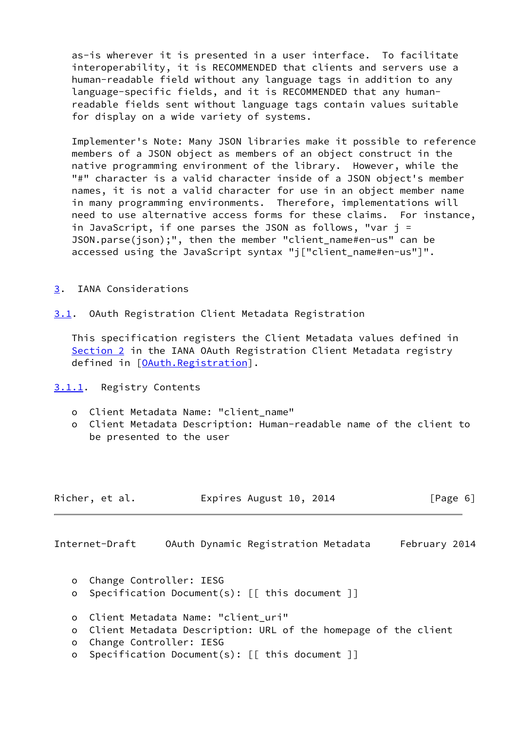as-is wherever it is presented in a user interface. To facilitate interoperability, it is RECOMMENDED that clients and servers use a human-readable field without any language tags in addition to any language-specific fields, and it is RECOMMENDED that any human readable fields sent without language tags contain values suitable for display on a wide variety of systems.

 Implementer's Note: Many JSON libraries make it possible to reference members of a JSON object as members of an object construct in the native programming environment of the library. However, while the "#" character is a valid character inside of a JSON object's member names, it is not a valid character for use in an object member name in many programming environments. Therefore, implementations will need to use alternative access forms for these claims. For instance, in JavaScript, if one parses the JSON as follows, "var j = JSON.parse(json);", then the member "client name#en-us" can be accessed using the JavaScript syntax "j["client\_name#en-us"]".

- <span id="page-6-0"></span>[3](#page-6-0). IANA Considerations
- <span id="page-6-1"></span>[3.1](#page-6-1). OAuth Registration Client Metadata Registration

 This specification registers the Client Metadata values defined in [Section 2](#page-3-0) in the IANA OAuth Registration Client Metadata registry defined in [[OAuth.Registration\]](#page-9-4).

<span id="page-6-2"></span>[3.1.1](#page-6-2). Registry Contents

- o Client Metadata Name: "client\_name"
- o Client Metadata Description: Human-readable name of the client to be presented to the user

| Richer, et al.<br>Expires August 10, 2014 | [Page 6] |
|-------------------------------------------|----------|
|-------------------------------------------|----------|

Internet-Draft OAuth Dynamic Registration Metadata February 2014

- o Change Controller: IESG
- o Specification Document(s): [[ this document ]]
- o Client Metadata Name: "client\_uri"
- o Client Metadata Description: URL of the homepage of the client
- o Change Controller: IESG
- o Specification Document(s): [[ this document ]]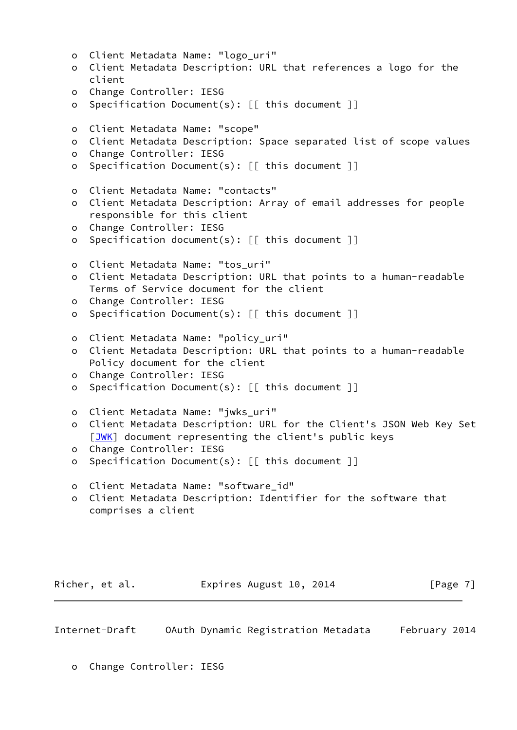| $\circ$<br>$\circ$ | Client Metadata Name: "logo_uri"<br>Client Metadata Description: URL that references a logo for the |
|--------------------|-----------------------------------------------------------------------------------------------------|
|                    | client                                                                                              |
| $\circ$            | Change Controller: IESG                                                                             |
| $\circ$            | Specification Document(s): [[ this document ]]                                                      |
| $\circ$            | Client Metadata Name: "scope"                                                                       |
| o                  | Client Metadata Description: Space separated list of scope values                                   |
| $\circ$            | Change Controller: IESG<br>Specification Document(s): [[ this document ]]                           |
| $\circ$            |                                                                                                     |
| $\circ$            | Client Metadata Name: "contacts"                                                                    |
| o                  | Client Metadata Description: Array of email addresses for people                                    |
|                    | responsible for this client                                                                         |
| $\circ$            | Change Controller: IESG                                                                             |
| o                  | Specification document(s): [[ this document ]]                                                      |
| $\circ$            | Client Metadata Name: "tos_uri"                                                                     |
| o                  | Client Metadata Description: URL that points to a human-readable                                    |
|                    | Terms of Service document for the client                                                            |
| $\circ$            | Change Controller: IESG                                                                             |
| o                  | Specification Document(s): [[ this document ]]                                                      |
| $\circ$            | Client Metadata Name: "policy_uri"                                                                  |
| o                  | Client Metadata Description: URL that points to a human-readable                                    |
|                    | Policy document for the client                                                                      |
| $\circ$            | Change Controller: IESG                                                                             |
| o                  | Specification Document(s): [[ this document ]]                                                      |
|                    |                                                                                                     |
| $\circ$            | Client Metadata Name: "jwks_uri"                                                                    |
| $\mathsf O$        | Client Metadata Description: URL for the Client's JSON Web Key Set                                  |
|                    | [JWK] document representing the client's public keys                                                |
| o                  | Change Controller: IESG                                                                             |
| о                  | Specification Document(s): [[ this document ]]                                                      |
| $\circ$            | Client Metadata Name: "software_id"                                                                 |
| o                  | Client Metadata Description: Identifier for the software that                                       |
|                    | comprises a client                                                                                  |
|                    |                                                                                                     |
|                    |                                                                                                     |
|                    |                                                                                                     |
|                    |                                                                                                     |

<span id="page-7-0"></span>Internet-Draft OAuth Dynamic Registration Metadata February 2014

Richer, et al. **Expires August 10, 2014** [Page 7]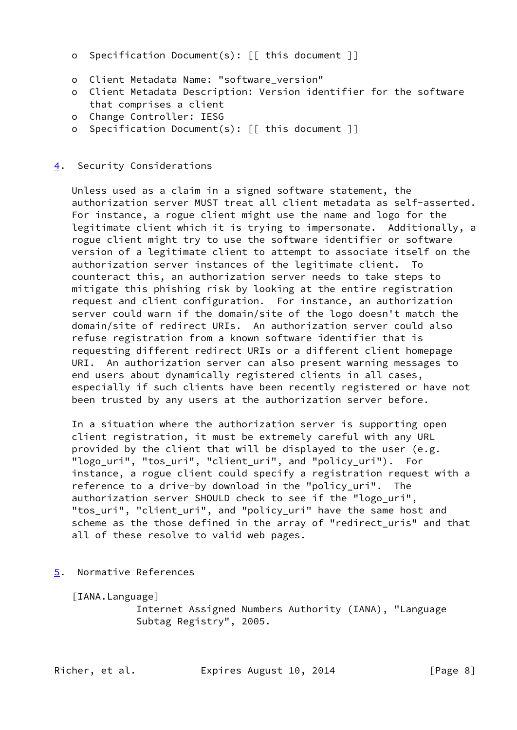- o Specification Document(s): [[ this document ]]
- o Client Metadata Name: "software\_version"
- o Client Metadata Description: Version identifier for the software that comprises a client
- o Change Controller: IESG
- o Specification Document(s): [[ this document ]]
- <span id="page-8-0"></span>[4](#page-8-0). Security Considerations

 Unless used as a claim in a signed software statement, the authorization server MUST treat all client metadata as self-asserted. For instance, a rogue client might use the name and logo for the legitimate client which it is trying to impersonate. Additionally, a rogue client might try to use the software identifier or software version of a legitimate client to attempt to associate itself on the authorization server instances of the legitimate client. To counteract this, an authorization server needs to take steps to mitigate this phishing risk by looking at the entire registration request and client configuration. For instance, an authorization server could warn if the domain/site of the logo doesn't match the domain/site of redirect URIs. An authorization server could also refuse registration from a known software identifier that is requesting different redirect URIs or a different client homepage URI. An authorization server can also present warning messages to end users about dynamically registered clients in all cases, especially if such clients have been recently registered or have not been trusted by any users at the authorization server before.

 In a situation where the authorization server is supporting open client registration, it must be extremely careful with any URL provided by the client that will be displayed to the user (e.g. "logo\_uri", "tos\_uri", "client\_uri", and "policy\_uri"). For instance, a rogue client could specify a registration request with a reference to a drive-by download in the "policy\_uri". The authorization server SHOULD check to see if the "logo uri", "tos\_uri", "client\_uri", and "policy\_uri" have the same host and scheme as the those defined in the array of "redirect\_uris" and that all of these resolve to valid web pages.

<span id="page-8-1"></span>[5](#page-8-1). Normative References

<span id="page-8-2"></span>[IANA.Language]

 Internet Assigned Numbers Authority (IANA), "Language Subtag Registry", 2005.

Richer, et al. Expires August 10, 2014 [Page 8]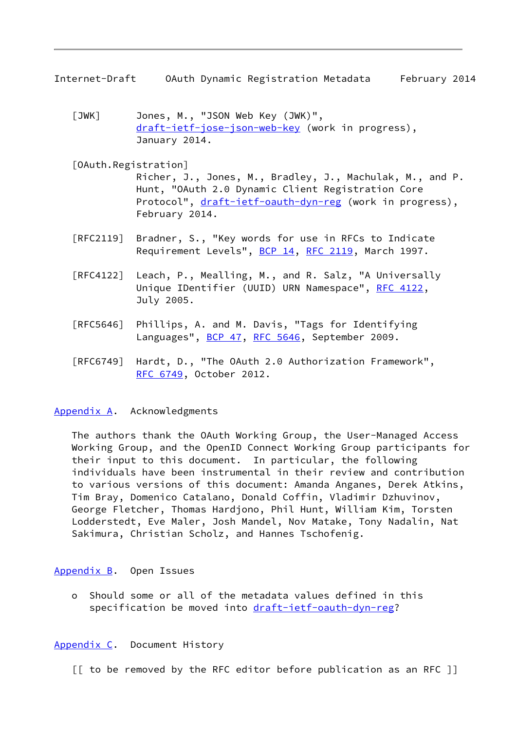<span id="page-9-1"></span>Internet-Draft OAuth Dynamic Registration Metadata February 2014

<span id="page-9-5"></span> [JWK] Jones, M., "JSON Web Key (JWK)", [draft-ietf-jose-json-web-key](https://datatracker.ietf.org/doc/pdf/draft-ietf-jose-json-web-key) (work in progress), January 2014.

<span id="page-9-4"></span>[OAuth.Registration]

 Richer, J., Jones, M., Bradley, J., Machulak, M., and P. Hunt, "OAuth 2.0 Dynamic Client Registration Core Protocol", [draft-ietf-oauth-dyn-reg](https://datatracker.ietf.org/doc/pdf/draft-ietf-oauth-dyn-reg) (work in progress), February 2014.

- [RFC2119] Bradner, S., "Key words for use in RFCs to Indicate Requirement Levels", [BCP 14](https://datatracker.ietf.org/doc/pdf/bcp14), [RFC 2119](https://datatracker.ietf.org/doc/pdf/rfc2119), March 1997.
- [RFC4122] Leach, P., Mealling, M., and R. Salz, "A Universally Unique IDentifier (UUID) URN Namespace", [RFC 4122,](https://datatracker.ietf.org/doc/pdf/rfc4122) July 2005.
- [RFC5646] Phillips, A. and M. Davis, "Tags for Identifying Languages", [BCP 47](https://datatracker.ietf.org/doc/pdf/bcp47), [RFC 5646,](https://datatracker.ietf.org/doc/pdf/rfc5646) September 2009.
- [RFC6749] Hardt, D., "The OAuth 2.0 Authorization Framework", [RFC 6749,](https://datatracker.ietf.org/doc/pdf/rfc6749) October 2012.

### <span id="page-9-0"></span>[Appendix A.](#page-9-0) Acknowledgments

 The authors thank the OAuth Working Group, the User-Managed Access Working Group, and the OpenID Connect Working Group participants for their input to this document. In particular, the following individuals have been instrumental in their review and contribution to various versions of this document: Amanda Anganes, Derek Atkins, Tim Bray, Domenico Catalano, Donald Coffin, Vladimir Dzhuvinov, George Fletcher, Thomas Hardjono, Phil Hunt, William Kim, Torsten Lodderstedt, Eve Maler, Josh Mandel, Nov Matake, Tony Nadalin, Nat Sakimura, Christian Scholz, and Hannes Tschofenig.

### <span id="page-9-2"></span>[Appendix B.](#page-9-2) Open Issues

 o Should some or all of the metadata values defined in this specification be moved into [draft-ietf-oauth-dyn-reg?](https://datatracker.ietf.org/doc/pdf/draft-ietf-oauth-dyn-reg)

### <span id="page-9-3"></span>[Appendix C.](#page-9-3) Document History

[[ to be removed by the RFC editor before publication as an RFC ]]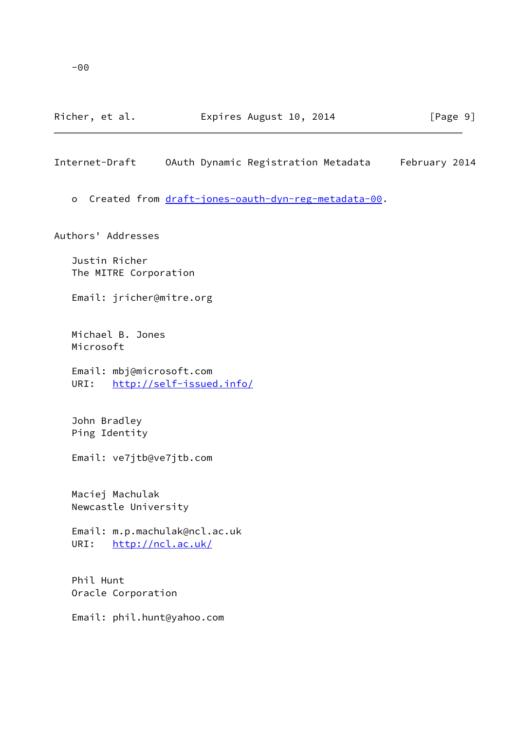Richer, et al. **Expires August 10, 2014** [Page 9]

<span id="page-10-0"></span>Internet-Draft OAuth Dynamic Registration Metadata February 2014

o Created from [draft-jones-oauth-dyn-reg-metadata-00](https://datatracker.ietf.org/doc/pdf/draft-jones-oauth-dyn-reg-metadata-00).

Authors' Addresses

 Justin Richer The MITRE Corporation

Email: jricher@mitre.org

 Michael B. Jones Microsoft

 Email: mbj@microsoft.com URI: <http://self-issued.info/>

 John Bradley Ping Identity

Email: ve7jtb@ve7jtb.com

 Maciej Machulak Newcastle University

 Email: m.p.machulak@ncl.ac.uk URI: <http://ncl.ac.uk/>

 Phil Hunt Oracle Corporation

Email: phil.hunt@yahoo.com